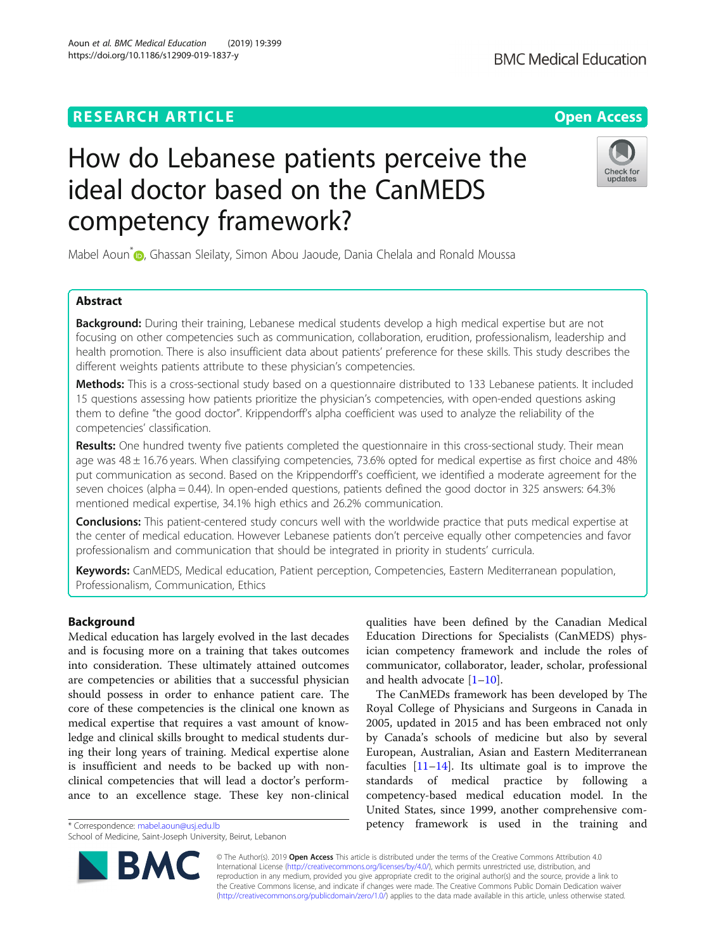## **RESEARCH ARTICLE Example 2014 12:30 The Contract of Contract ACCESS**

# How do Lebanese patients perceive the ideal doctor based on the CanMEDS competency framework?

Mabel Aoun<sup>\*</sup> <sub>(b</sub>[,](http://orcid.org/0000-0001-9893-5514) Ghassan Sleilaty, Simon Abou Jaoude, Dania Chelala and Ronald Moussa

### Abstract

Background: During their training, Lebanese medical students develop a high medical expertise but are not focusing on other competencies such as communication, collaboration, erudition, professionalism, leadership and health promotion. There is also insufficient data about patients' preference for these skills. This study describes the different weights patients attribute to these physician's competencies.

Methods: This is a cross-sectional study based on a questionnaire distributed to 133 Lebanese patients. It included 15 questions assessing how patients prioritize the physician's competencies, with open-ended questions asking them to define "the good doctor". Krippendorff's alpha coefficient was used to analyze the reliability of the competencies' classification.

Results: One hundred twenty five patients completed the questionnaire in this cross-sectional study. Their mean age was 48 ± 16.76 years. When classifying competencies, 73.6% opted for medical expertise as first choice and 48% put communication as second. Based on the Krippendorff's coefficient, we identified a moderate agreement for the seven choices (alpha = 0.44). In open-ended questions, patients defined the good doctor in 325 answers: 64.3% mentioned medical expertise, 34.1% high ethics and 26.2% communication.

Conclusions: This patient-centered study concurs well with the worldwide practice that puts medical expertise at the center of medical education. However Lebanese patients don't perceive equally other competencies and favor professionalism and communication that should be integrated in priority in students' curricula.

Keywords: CanMEDS, Medical education, Patient perception, Competencies, Eastern Mediterranean population, Professionalism, Communication, Ethics

#### Background

Medical education has largely evolved in the last decades and is focusing more on a training that takes outcomes into consideration. These ultimately attained outcomes are competencies or abilities that a successful physician should possess in order to enhance patient care. The core of these competencies is the clinical one known as medical expertise that requires a vast amount of knowledge and clinical skills brought to medical students during their long years of training. Medical expertise alone is insufficient and needs to be backed up with nonclinical competencies that will lead a doctor's performance to an excellence stage. These key non-clinical

\* Correspondence: [mabel.aoun@usj.edu.lb](mailto:mabel.aoun@usj.edu.lb)

School of Medicine, Saint-Joseph University, Beirut, Lebanon

qualities have been defined by the Canadian Medical Education Directions for Specialists (CanMEDS) physician competency framework and include the roles of communicator, collaborator, leader, scholar, professional and health advocate  $[1-10]$  $[1-10]$  $[1-10]$  $[1-10]$ .

The CanMEDs framework has been developed by The Royal College of Physicians and Surgeons in Canada in 2005, updated in 2015 and has been embraced not only by Canada's schools of medicine but also by several European, Australian, Asian and Eastern Mediterranean faculties  $[11-14]$  $[11-14]$  $[11-14]$  $[11-14]$  $[11-14]$ . Its ultimate goal is to improve the standards of medical practice by following a competency-based medical education model. In the United States, since 1999, another comprehensive competency framework is used in the training and

© The Author(s). 2019 **Open Access** This article is distributed under the terms of the Creative Commons Attribution 4.0 International License [\(http://creativecommons.org/licenses/by/4.0/](http://creativecommons.org/licenses/by/4.0/)), which permits unrestricted use, distribution, and reproduction in any medium, provided you give appropriate credit to the original author(s) and the source, provide a link to the Creative Commons license, and indicate if changes were made. The Creative Commons Public Domain Dedication waiver [\(http://creativecommons.org/publicdomain/zero/1.0/](http://creativecommons.org/publicdomain/zero/1.0/)) applies to the data made available in this article, unless otherwise stated.







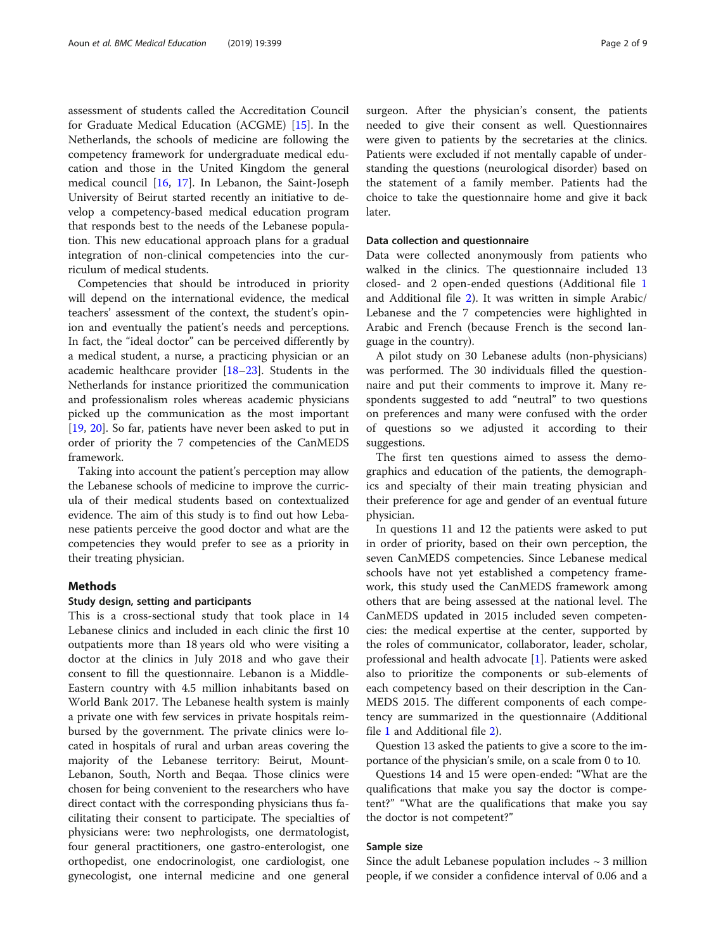assessment of students called the Accreditation Council for Graduate Medical Education (ACGME) [[15](#page-7-0)]. In the Netherlands, the schools of medicine are following the competency framework for undergraduate medical education and those in the United Kingdom the general medical council [\[16](#page-7-0), [17\]](#page-7-0). In Lebanon, the Saint-Joseph University of Beirut started recently an initiative to develop a competency-based medical education program that responds best to the needs of the Lebanese population. This new educational approach plans for a gradual integration of non-clinical competencies into the curriculum of medical students.

Competencies that should be introduced in priority will depend on the international evidence, the medical teachers' assessment of the context, the student's opinion and eventually the patient's needs and perceptions. In fact, the "ideal doctor" can be perceived differently by a medical student, a nurse, a practicing physician or an academic healthcare provider [[18](#page-7-0)–[23](#page-7-0)]. Students in the Netherlands for instance prioritized the communication and professionalism roles whereas academic physicians picked up the communication as the most important [[19,](#page-7-0) [20\]](#page-7-0). So far, patients have never been asked to put in order of priority the 7 competencies of the CanMEDS framework.

Taking into account the patient's perception may allow the Lebanese schools of medicine to improve the curricula of their medical students based on contextualized evidence. The aim of this study is to find out how Lebanese patients perceive the good doctor and what are the competencies they would prefer to see as a priority in their treating physician.

#### Methods

#### Study design, setting and participants

This is a cross-sectional study that took place in 14 Lebanese clinics and included in each clinic the first 10 outpatients more than 18 years old who were visiting a doctor at the clinics in July 2018 and who gave their consent to fill the questionnaire. Lebanon is a Middle-Eastern country with 4.5 million inhabitants based on World Bank 2017. The Lebanese health system is mainly a private one with few services in private hospitals reimbursed by the government. The private clinics were located in hospitals of rural and urban areas covering the majority of the Lebanese territory: Beirut, Mount-Lebanon, South, North and Beqaa. Those clinics were chosen for being convenient to the researchers who have direct contact with the corresponding physicians thus facilitating their consent to participate. The specialties of physicians were: two nephrologists, one dermatologist, four general practitioners, one gastro-enterologist, one orthopedist, one endocrinologist, one cardiologist, one gynecologist, one internal medicine and one general

surgeon. After the physician's consent, the patients needed to give their consent as well. Questionnaires were given to patients by the secretaries at the clinics. Patients were excluded if not mentally capable of understanding the questions (neurological disorder) based on the statement of a family member. Patients had the choice to take the questionnaire home and give it back later.

#### Data collection and questionnaire

Data were collected anonymously from patients who walked in the clinics. The questionnaire included 13 closed- and 2 open-ended questions (Additional file [1](#page-6-0) and Additional file [2\)](#page-6-0). It was written in simple Arabic/ Lebanese and the 7 competencies were highlighted in Arabic and French (because French is the second language in the country).

A pilot study on 30 Lebanese adults (non-physicians) was performed. The 30 individuals filled the questionnaire and put their comments to improve it. Many respondents suggested to add "neutral" to two questions on preferences and many were confused with the order of questions so we adjusted it according to their suggestions.

The first ten questions aimed to assess the demographics and education of the patients, the demographics and specialty of their main treating physician and their preference for age and gender of an eventual future physician.

In questions 11 and 12 the patients were asked to put in order of priority, based on their own perception, the seven CanMEDS competencies. Since Lebanese medical schools have not yet established a competency framework, this study used the CanMEDS framework among others that are being assessed at the national level. The CanMEDS updated in 2015 included seven competencies: the medical expertise at the center, supported by the roles of communicator, collaborator, leader, scholar, professional and health advocate [[1\]](#page-7-0). Patients were asked also to prioritize the components or sub-elements of each competency based on their description in the Can-MEDS 2015. The different components of each competency are summarized in the questionnaire (Additional file [1](#page-6-0) and Additional file [2](#page-6-0)).

Question 13 asked the patients to give a score to the importance of the physician's smile, on a scale from 0 to 10.

Questions 14 and 15 were open-ended: "What are the qualifications that make you say the doctor is competent?" "What are the qualifications that make you say the doctor is not competent?"

#### Sample size

Since the adult Lebanese population includes  $\sim$  3 million people, if we consider a confidence interval of 0.06 and a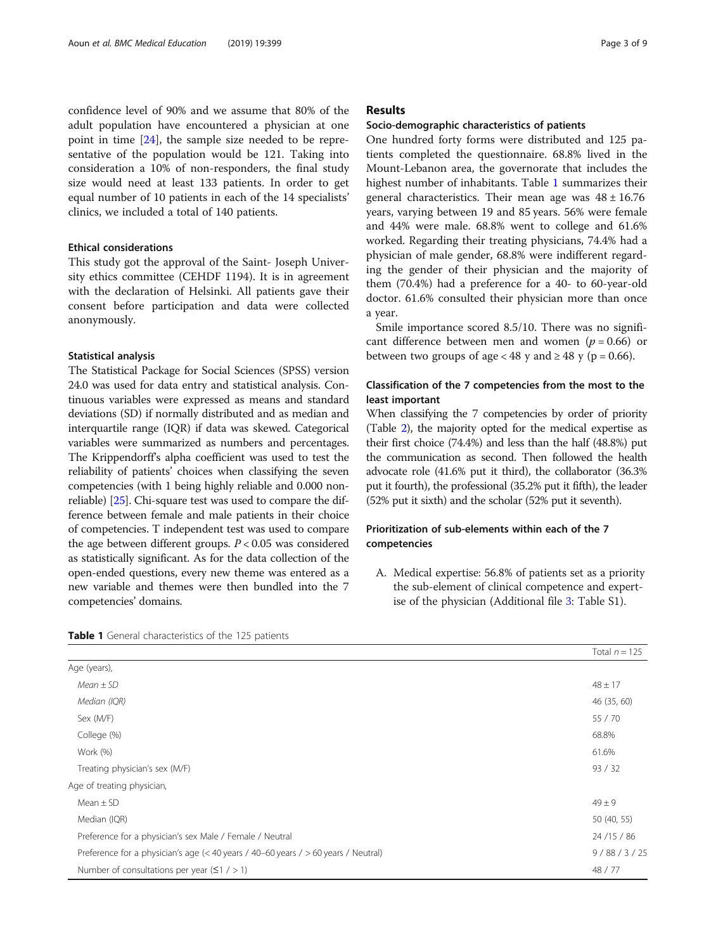confidence level of 90% and we assume that 80% of the adult population have encountered a physician at one point in time [[24](#page-7-0)], the sample size needed to be representative of the population would be 121. Taking into consideration a 10% of non-responders, the final study size would need at least 133 patients. In order to get equal number of 10 patients in each of the 14 specialists' clinics, we included a total of 140 patients.

#### Ethical considerations

This study got the approval of the Saint- Joseph University ethics committee (CEHDF 1194). It is in agreement with the declaration of Helsinki. All patients gave their consent before participation and data were collected anonymously.

#### Statistical analysis

The Statistical Package for Social Sciences (SPSS) version 24.0 was used for data entry and statistical analysis. Continuous variables were expressed as means and standard deviations (SD) if normally distributed and as median and interquartile range (IQR) if data was skewed. Categorical variables were summarized as numbers and percentages. The Krippendorff's alpha coefficient was used to test the reliability of patients' choices when classifying the seven competencies (with 1 being highly reliable and 0.000 nonreliable) [\[25](#page-7-0)]. Chi-square test was used to compare the difference between female and male patients in their choice of competencies. T independent test was used to compare the age between different groups.  $P < 0.05$  was considered as statistically significant. As for the data collection of the open-ended questions, every new theme was entered as a new variable and themes were then bundled into the 7 competencies' domains.

#### Results

#### Socio-demographic characteristics of patients

One hundred forty forms were distributed and 125 patients completed the questionnaire. 68.8% lived in the Mount-Lebanon area, the governorate that includes the highest number of inhabitants. Table 1 summarizes their general characteristics. Their mean age was  $48 \pm 16.76$ years, varying between 19 and 85 years. 56% were female and 44% were male. 68.8% went to college and 61.6% worked. Regarding their treating physicians, 74.4% had a physician of male gender, 68.8% were indifferent regarding the gender of their physician and the majority of them (70.4%) had a preference for a 40- to 60-year-old doctor. 61.6% consulted their physician more than once a year.

Smile importance scored 8.5/10. There was no significant difference between men and women ( $p = 0.66$ ) or between two groups of age < 48 y and  $\geq$  48 y (p = 0.66).

#### Classification of the 7 competencies from the most to the least important

When classifying the 7 competencies by order of priority (Table [2](#page-3-0)), the majority opted for the medical expertise as their first choice (74.4%) and less than the half (48.8%) put the communication as second. Then followed the health advocate role (41.6% put it third), the collaborator (36.3% put it fourth), the professional (35.2% put it fifth), the leader (52% put it sixth) and the scholar (52% put it seventh).

#### Prioritization of sub-elements within each of the 7 competencies

A. Medical expertise: 56.8% of patients set as a priority the sub-element of clinical competence and expertise of the physician (Additional file [3:](#page-6-0) Table S1).

Total  $n = 125$ 

| Age (years),                                                                       |             |
|------------------------------------------------------------------------------------|-------------|
| $Mean \pm SD$                                                                      | $48 \pm 17$ |
| Median (IQR)                                                                       | 46 (35, 60) |
| Sex (M/F)                                                                          | 55 / 70     |
| College (%)                                                                        | 68.8%       |
| Work (%)                                                                           | 61.6%       |
| Treating physician's sex (M/F)                                                     | 93 / 32     |
| Age of treating physician,                                                         |             |
| Mean $\pm$ SD                                                                      | $49 + 9$    |
| Median (IQR)                                                                       | 50 (40, 55) |
| Preference for a physician's sex Male / Female / Neutral                           | 24/15/86    |
| Preference for a physician's age (< 40 years / 40–60 years / > 60 years / Neutral) | 9/88/3/25   |
| Number of consultations per year $(51 / > 1)$                                      | 48 / 77     |

Table 1 General characteristics of the 125 patients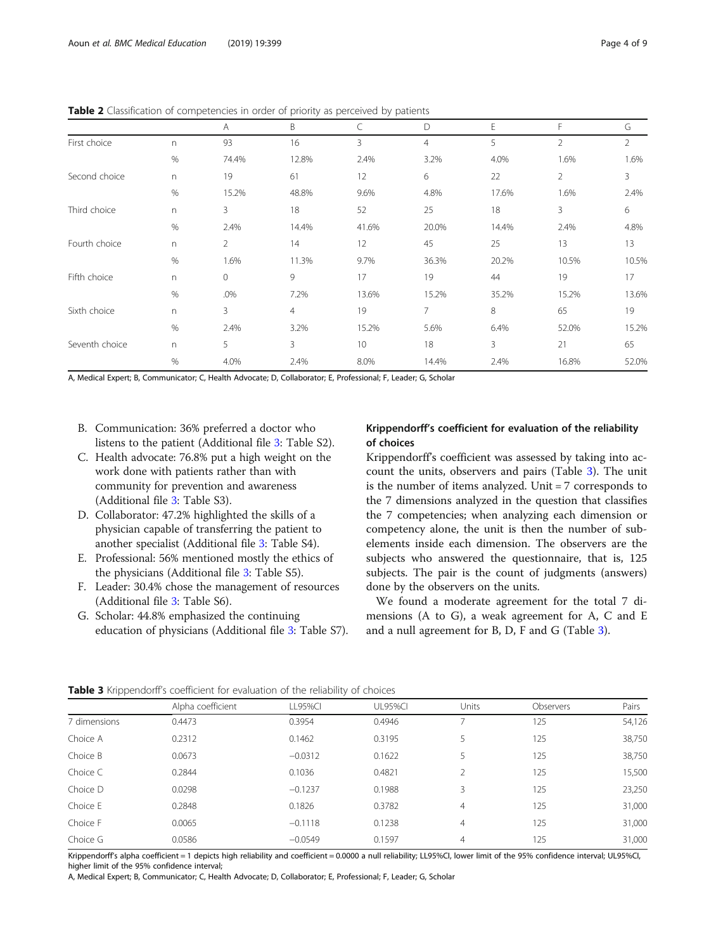|                |      | Α              | B              | C     | D              | E     | F              | G              |
|----------------|------|----------------|----------------|-------|----------------|-------|----------------|----------------|
| First choice   | n    | 93             | 16             | 3     | $\overline{4}$ | 5     | $\overline{2}$ | $\overline{2}$ |
|                | $\%$ | 74.4%          | 12.8%          | 2.4%  | 3.2%           | 4.0%  | 1.6%           | 1.6%           |
| Second choice  | n    | 19             | 61             | 12    | 6              | 22    | 2              | 3              |
|                | %    | 15.2%          | 48.8%          | 9.6%  | 4.8%           | 17.6% | 1.6%           | 2.4%           |
| Third choice   | n    | 3              | 18             | 52    | 25             | 18    | 3              | 6              |
|                | %    | 2.4%           | 14.4%          | 41.6% | 20.0%          | 14.4% | 2.4%           | 4.8%           |
| Fourth choice  | n    | $\overline{2}$ | 14             | 12    | 45             | 25    | 13             | 13             |
|                | $\%$ | 1.6%           | 11.3%          | 9.7%  | 36.3%          | 20.2% | 10.5%          | 10.5%          |
| Fifth choice   | n    | $\mathbf 0$    | 9              | 17    | 19             | 44    | 19             | 17             |
|                | $\%$ | .0%            | 7.2%           | 13.6% | 15.2%          | 35.2% | 15.2%          | 13.6%          |
| Sixth choice   | n    | 3              | $\overline{4}$ | 19    | $\overline{7}$ | 8     | 65             | 19             |
|                | $\%$ | 2.4%           | 3.2%           | 15.2% | 5.6%           | 6.4%  | 52.0%          | 15.2%          |
| Seventh choice | n    | 5              | 3              | 10    | 18             | 3     | 21             | 65             |
|                | $\%$ | 4.0%           | 2.4%           | 8.0%  | 14.4%          | 2.4%  | 16.8%          | 52.0%          |

<span id="page-3-0"></span>Table 2 Classification of competencies in order of priority as perceived by patients

A, Medical Expert; B, Communicator; C, Health Advocate; D, Collaborator; E, Professional; F, Leader; G, Scholar

- B. Communication: 36% preferred a doctor who listens to the patient (Additional file [3:](#page-6-0) Table S2).
- C. Health advocate: 76.8% put a high weight on the work done with patients rather than with community for prevention and awareness (Additional file [3](#page-6-0): Table S3).
- D. Collaborator: 47.2% highlighted the skills of a physician capable of transferring the patient to another specialist (Additional file [3](#page-6-0): Table S4).
- E. Professional: 56% mentioned mostly the ethics of the physicians (Additional file [3](#page-6-0): Table S5).
- F. Leader: 30.4% chose the management of resources (Additional file [3](#page-6-0): Table S6).
- G. Scholar: 44.8% emphasized the continuing education of physicians (Additional file [3](#page-6-0): Table S7).

#### Krippendorff's coefficient for evaluation of the reliability of choices

Krippendorff's coefficient was assessed by taking into account the units, observers and pairs (Table 3). The unit is the number of items analyzed. Unit = 7 corresponds to the 7 dimensions analyzed in the question that classifies the 7 competencies; when analyzing each dimension or competency alone, the unit is then the number of subelements inside each dimension. The observers are the subjects who answered the questionnaire, that is, 125 subjects. The pair is the count of judgments (answers) done by the observers on the units.

We found a moderate agreement for the total 7 dimensions (A to G), a weak agreement for A, C and E and a null agreement for B, D, F and G (Table 3).

| <b>Table 3</b> Nilpperioditi's coefficient for evaluation of the reliability of choices |                   |           |                |       |           |        |  |  |  |  |
|-----------------------------------------------------------------------------------------|-------------------|-----------|----------------|-------|-----------|--------|--|--|--|--|
|                                                                                         | Alpha coefficient | LL95%CI   | <b>UL95%CI</b> | Units | Observers | Pairs  |  |  |  |  |
| 7 dimensions                                                                            | 0.4473            | 0.3954    | 0.4946         |       | 125       | 54,126 |  |  |  |  |
| Choice A                                                                                | 0.2312            | 0.1462    | 0.3195         |       | 125       | 38,750 |  |  |  |  |
| Choice B                                                                                | 0.0673            | $-0.0312$ | 0.1622         |       | 125       | 38,750 |  |  |  |  |
| Choice C                                                                                | 0.2844            | 0.1036    | 0.4821         |       | 125       | 15,500 |  |  |  |  |
| Choice D                                                                                | 0.0298            | $-0.1237$ | 0.1988         | 3     | 125       | 23,250 |  |  |  |  |
| Choice E                                                                                | 0.2848            | 0.1826    | 0.3782         | 4     | 125       | 31,000 |  |  |  |  |
| Choice F                                                                                | 0.0065            | $-0.1118$ | 0.1238         | 4     | 125       | 31,000 |  |  |  |  |
| Choice G                                                                                | 0.0586            | $-0.0549$ | 0.1597         | 4     | 125       | 31,000 |  |  |  |  |

the 3 Krippendorff's coefficient for evaluation of the reliability of choices

Krippendorff's alpha coefficient = 1 depicts high reliability and coefficient = 0.0000 a null reliability; LL95%CI, lower limit of the 95% confidence interval; UL95%CI, higher limit of the 95% confidence interval;

A, Medical Expert; B, Communicator; C, Health Advocate; D, Collaborator; E, Professional; F, Leader; G, Scholar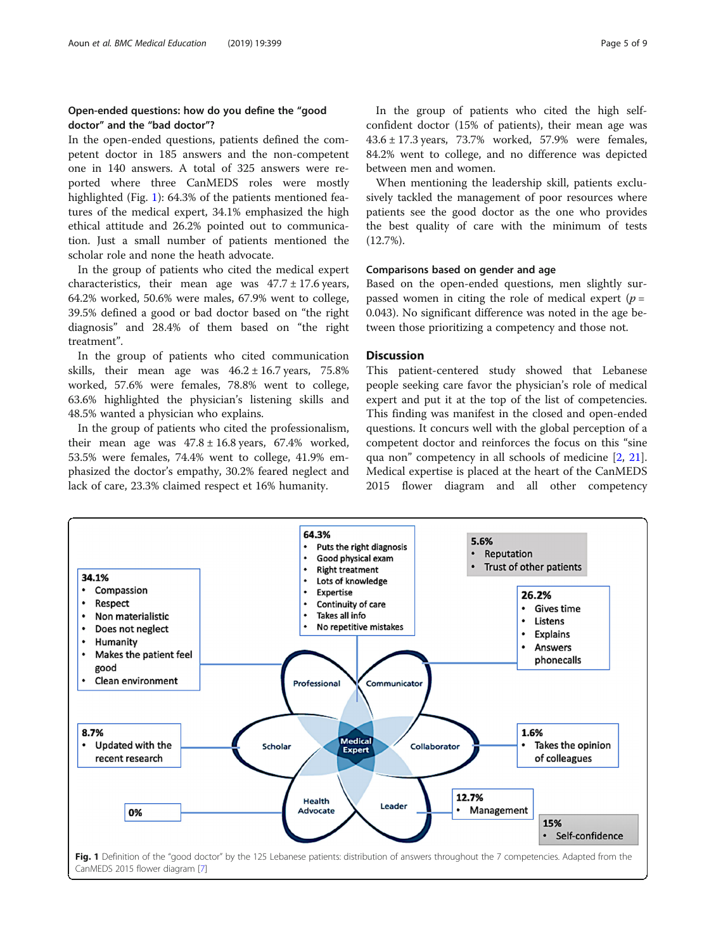#### Open-ended questions: how do you define the "good doctor" and the "bad doctor"?

In the open-ended questions, patients defined the competent doctor in 185 answers and the non-competent one in 140 answers. A total of 325 answers were reported where three CanMEDS roles were mostly highlighted (Fig. 1): 64.3% of the patients mentioned features of the medical expert, 34.1% emphasized the high ethical attitude and 26.2% pointed out to communication. Just a small number of patients mentioned the scholar role and none the heath advocate.

In the group of patients who cited the medical expert characteristics, their mean age was  $47.7 \pm 17.6$  years, 64.2% worked, 50.6% were males, 67.9% went to college, 39.5% defined a good or bad doctor based on "the right diagnosis" and 28.4% of them based on "the right treatment".

In the group of patients who cited communication skills, their mean age was  $46.2 \pm 16.7$  years,  $75.8\%$ worked, 57.6% were females, 78.8% went to college, 63.6% highlighted the physician's listening skills and 48.5% wanted a physician who explains.

In the group of patients who cited the professionalism, their mean age was  $47.8 \pm 16.8$  years, 67.4% worked, 53.5% were females, 74.4% went to college, 41.9% emphasized the doctor's empathy, 30.2% feared neglect and lack of care, 23.3% claimed respect et 16% humanity.

In the group of patients who cited the high selfconfident doctor (15% of patients), their mean age was 43.6 ± 17.3 years, 73.7% worked, 57.9% were females, 84.2% went to college, and no difference was depicted between men and women.

When mentioning the leadership skill, patients exclusively tackled the management of poor resources where patients see the good doctor as the one who provides the best quality of care with the minimum of tests (12.7%).

#### Comparisons based on gender and age

Based on the open-ended questions, men slightly surpassed women in citing the role of medical expert ( $p =$ 0.043). No significant difference was noted in the age between those prioritizing a competency and those not.

#### **Discussion**

This patient-centered study showed that Lebanese people seeking care favor the physician's role of medical expert and put it at the top of the list of competencies. This finding was manifest in the closed and open-ended questions. It concurs well with the global perception of a competent doctor and reinforces the focus on this "sine qua non" competency in all schools of medicine [[2,](#page-7-0) [21](#page-7-0)]. Medical expertise is placed at the heart of the CanMEDS 2015 flower diagram and all other competency

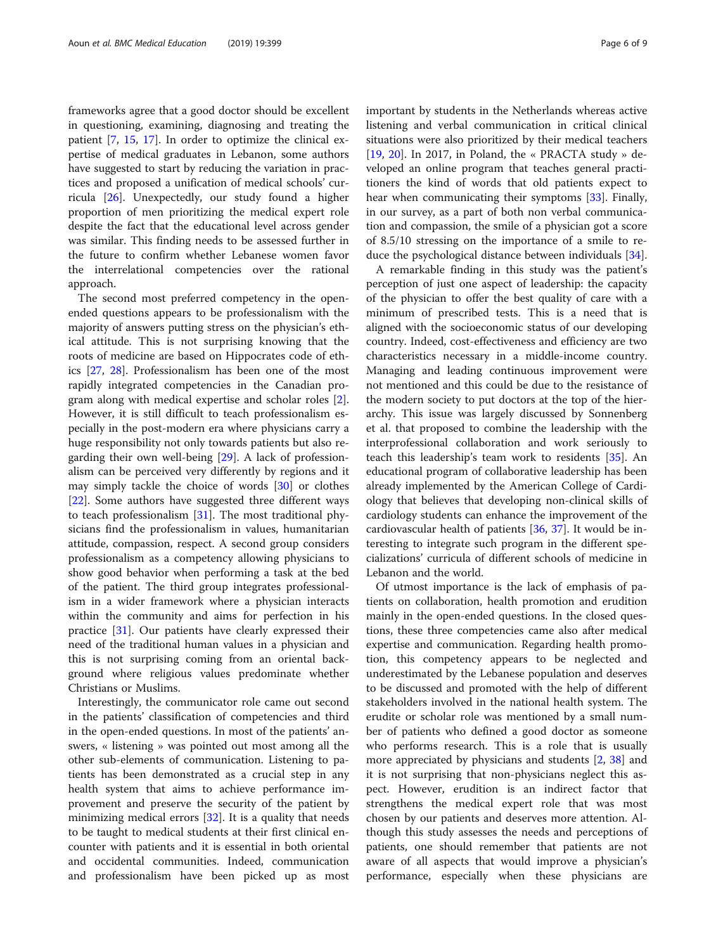frameworks agree that a good doctor should be excellent in questioning, examining, diagnosing and treating the patient [\[7](#page-7-0), [15,](#page-7-0) [17\]](#page-7-0). In order to optimize the clinical expertise of medical graduates in Lebanon, some authors have suggested to start by reducing the variation in practices and proposed a unification of medical schools' curricula [\[26\]](#page-7-0). Unexpectedly, our study found a higher proportion of men prioritizing the medical expert role despite the fact that the educational level across gender was similar. This finding needs to be assessed further in the future to confirm whether Lebanese women favor the interrelational competencies over the rational approach.

The second most preferred competency in the openended questions appears to be professionalism with the majority of answers putting stress on the physician's ethical attitude. This is not surprising knowing that the roots of medicine are based on Hippocrates code of ethics [\[27,](#page-7-0) [28](#page-7-0)]. Professionalism has been one of the most rapidly integrated competencies in the Canadian program along with medical expertise and scholar roles [\[2](#page-7-0)]. However, it is still difficult to teach professionalism especially in the post-modern era where physicians carry a huge responsibility not only towards patients but also regarding their own well-being [[29\]](#page-7-0). A lack of professionalism can be perceived very differently by regions and it may simply tackle the choice of words [[30\]](#page-7-0) or clothes [[22\]](#page-7-0). Some authors have suggested three different ways to teach professionalism [[31\]](#page-7-0). The most traditional physicians find the professionalism in values, humanitarian attitude, compassion, respect. A second group considers professionalism as a competency allowing physicians to show good behavior when performing a task at the bed of the patient. The third group integrates professionalism in a wider framework where a physician interacts within the community and aims for perfection in his practice [\[31](#page-7-0)]. Our patients have clearly expressed their need of the traditional human values in a physician and this is not surprising coming from an oriental background where religious values predominate whether Christians or Muslims.

Interestingly, the communicator role came out second in the patients' classification of competencies and third in the open-ended questions. In most of the patients' answers, « listening » was pointed out most among all the other sub-elements of communication. Listening to patients has been demonstrated as a crucial step in any health system that aims to achieve performance improvement and preserve the security of the patient by minimizing medical errors [[32\]](#page-7-0). It is a quality that needs to be taught to medical students at their first clinical encounter with patients and it is essential in both oriental and occidental communities. Indeed, communication and professionalism have been picked up as most

important by students in the Netherlands whereas active listening and verbal communication in critical clinical situations were also prioritized by their medical teachers [[19,](#page-7-0) [20](#page-7-0)]. In 2017, in Poland, the « PRACTA study » developed an online program that teaches general practitioners the kind of words that old patients expect to hear when communicating their symptoms [[33](#page-7-0)]. Finally, in our survey, as a part of both non verbal communication and compassion, the smile of a physician got a score of 8.5/10 stressing on the importance of a smile to reduce the psychological distance between individuals [\[34](#page-7-0)].

A remarkable finding in this study was the patient's perception of just one aspect of leadership: the capacity of the physician to offer the best quality of care with a minimum of prescribed tests. This is a need that is aligned with the socioeconomic status of our developing country. Indeed, cost-effectiveness and efficiency are two characteristics necessary in a middle-income country. Managing and leading continuous improvement were not mentioned and this could be due to the resistance of the modern society to put doctors at the top of the hierarchy. This issue was largely discussed by Sonnenberg et al. that proposed to combine the leadership with the interprofessional collaboration and work seriously to teach this leadership's team work to residents [[35\]](#page-7-0). An educational program of collaborative leadership has been already implemented by the American College of Cardiology that believes that developing non-clinical skills of cardiology students can enhance the improvement of the cardiovascular health of patients [[36,](#page-7-0) [37\]](#page-7-0). It would be interesting to integrate such program in the different specializations' curricula of different schools of medicine in Lebanon and the world.

Of utmost importance is the lack of emphasis of patients on collaboration, health promotion and erudition mainly in the open-ended questions. In the closed questions, these three competencies came also after medical expertise and communication. Regarding health promotion, this competency appears to be neglected and underestimated by the Lebanese population and deserves to be discussed and promoted with the help of different stakeholders involved in the national health system. The erudite or scholar role was mentioned by a small number of patients who defined a good doctor as someone who performs research. This is a role that is usually more appreciated by physicians and students [[2,](#page-7-0) [38](#page-7-0)] and it is not surprising that non-physicians neglect this aspect. However, erudition is an indirect factor that strengthens the medical expert role that was most chosen by our patients and deserves more attention. Although this study assesses the needs and perceptions of patients, one should remember that patients are not aware of all aspects that would improve a physician's performance, especially when these physicians are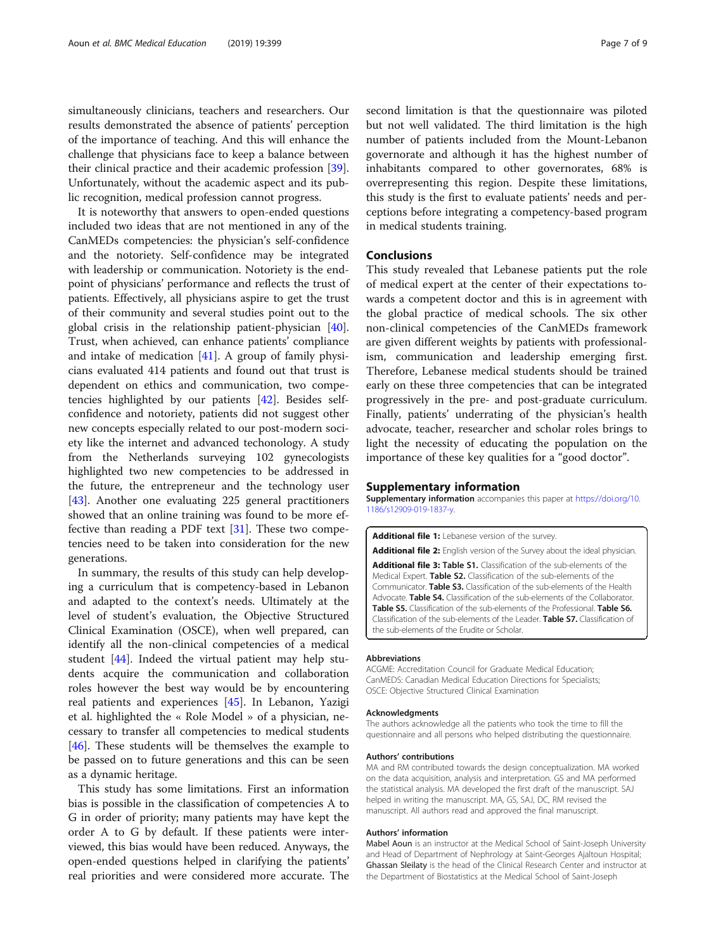<span id="page-6-0"></span>simultaneously clinicians, teachers and researchers. Our results demonstrated the absence of patients' perception of the importance of teaching. And this will enhance the challenge that physicians face to keep a balance between their clinical practice and their academic profession [\[39](#page-8-0)]. Unfortunately, without the academic aspect and its public recognition, medical profession cannot progress.

It is noteworthy that answers to open-ended questions included two ideas that are not mentioned in any of the CanMEDs competencies: the physician's self-confidence and the notoriety. Self-confidence may be integrated with leadership or communication. Notoriety is the endpoint of physicians' performance and reflects the trust of patients. Effectively, all physicians aspire to get the trust of their community and several studies point out to the global crisis in the relationship patient-physician [\[40](#page-8-0)]. Trust, when achieved, can enhance patients' compliance and intake of medication  $[41]$ . A group of family physicians evaluated 414 patients and found out that trust is dependent on ethics and communication, two competencies highlighted by our patients [\[42\]](#page-8-0). Besides selfconfidence and notoriety, patients did not suggest other new concepts especially related to our post-modern society like the internet and advanced techonology. A study from the Netherlands surveying 102 gynecologists highlighted two new competencies to be addressed in the future, the entrepreneur and the technology user [[43\]](#page-8-0). Another one evaluating 225 general practitioners showed that an online training was found to be more effective than reading a PDF text [\[31\]](#page-7-0). These two competencies need to be taken into consideration for the new generations.

In summary, the results of this study can help developing a curriculum that is competency-based in Lebanon and adapted to the context's needs. Ultimately at the level of student's evaluation, the Objective Structured Clinical Examination (OSCE), when well prepared, can identify all the non-clinical competencies of a medical student [\[44](#page-8-0)]. Indeed the virtual patient may help students acquire the communication and collaboration roles however the best way would be by encountering real patients and experiences [[45](#page-8-0)]. In Lebanon, Yazigi et al. highlighted the « Role Model » of a physician, necessary to transfer all competencies to medical students [[46\]](#page-8-0). These students will be themselves the example to be passed on to future generations and this can be seen as a dynamic heritage.

This study has some limitations. First an information bias is possible in the classification of competencies A to G in order of priority; many patients may have kept the order A to G by default. If these patients were interviewed, this bias would have been reduced. Anyways, the open-ended questions helped in clarifying the patients' real priorities and were considered more accurate. The

second limitation is that the questionnaire was piloted but not well validated. The third limitation is the high number of patients included from the Mount-Lebanon governorate and although it has the highest number of inhabitants compared to other governorates, 68% is overrepresenting this region. Despite these limitations, this study is the first to evaluate patients' needs and perceptions before integrating a competency-based program in medical students training.

#### Conclusions

This study revealed that Lebanese patients put the role of medical expert at the center of their expectations towards a competent doctor and this is in agreement with the global practice of medical schools. The six other non-clinical competencies of the CanMEDs framework are given different weights by patients with professionalism, communication and leadership emerging first. Therefore, Lebanese medical students should be trained early on these three competencies that can be integrated progressively in the pre- and post-graduate curriculum. Finally, patients' underrating of the physician's health advocate, teacher, researcher and scholar roles brings to light the necessity of educating the population on the importance of these key qualities for a "good doctor".

#### Supplementary information

Supplementary information accompanies this paper at [https://doi.org/10.](https://doi.org/10.1186/s12909-019-1837-y) [1186/s12909-019-1837-y](https://doi.org/10.1186/s12909-019-1837-y).

Additional file 1: Lebanese version of the survey.

Additional file 2: English version of the Survey about the ideal physician. Additional file 3: Table S1. Classification of the sub-elements of the Medical Expert. Table S2. Classification of the sub-elements of the Communicator. Table S3. Classification of the sub-elements of the Health Advocate. Table S4. Classification of the sub-elements of the Collaborator. Table S5. Classification of the sub-elements of the Professional. Table S6. Classification of the sub-elements of the Leader. Table S7. Classification of the sub-elements of the Erudite or Scholar.

#### Abbreviations

ACGME: Accreditation Council for Graduate Medical Education; CanMEDS: Canadian Medical Education Directions for Specialists; OSCE: Objective Structured Clinical Examination

#### Acknowledgments

The authors acknowledge all the patients who took the time to fill the questionnaire and all persons who helped distributing the questionnaire.

#### Authors' contributions

MA and RM contributed towards the design conceptualization. MA worked on the data acquisition, analysis and interpretation. GS and MA performed the statistical analysis. MA developed the first draft of the manuscript. SAJ helped in writing the manuscript. MA, GS, SAJ, DC, RM revised the manuscript. All authors read and approved the final manuscript.

#### Authors' information

Mabel Aoun is an instructor at the Medical School of Saint-Joseph University and Head of Department of Nephrology at Saint-Georges Ajaltoun Hospital; Ghassan Sleilaty is the head of the Clinical Research Center and instructor at the Department of Biostatistics at the Medical School of Saint-Joseph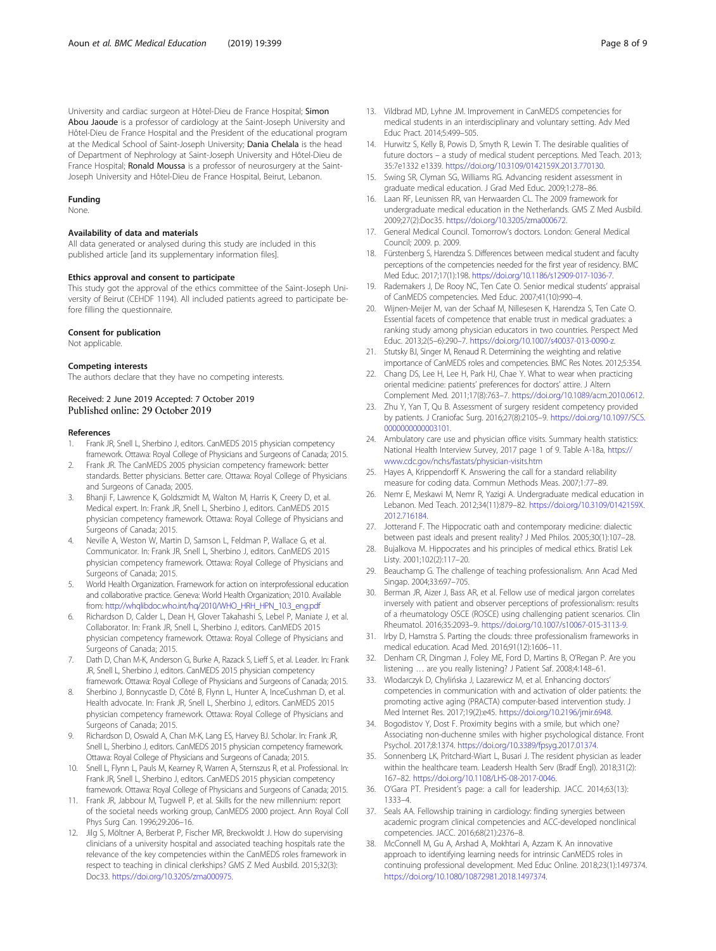<span id="page-7-0"></span>University and cardiac surgeon at Hôtel-Dieu de France Hospital; Simon Abou Jaoude is a professor of cardiology at the Saint-Joseph University and Hôtel-Dieu de France Hospital and the President of the educational program at the Medical School of Saint-Joseph University; Dania Chelala is the head of Department of Nephrology at Saint-Joseph University and Hôtel-Dieu de France Hospital; Ronald Moussa is a professor of neurosurgery at the Saint-Joseph University and Hôtel-Dieu de France Hospital, Beirut, Lebanon.

#### Funding

None.

#### Availability of data and materials

All data generated or analysed during this study are included in this published article [and its supplementary information files].

#### Ethics approval and consent to participate

This study got the approval of the ethics committee of the Saint-Joseph University of Beirut (CEHDF 1194). All included patients agreed to participate before filling the questionnaire.

#### Consent for publication

Not applicable.

#### Competing interests

The authors declare that they have no competing interests.

#### Received: 2 June 2019 Accepted: 7 October 2019 Published online: 29 October 2019

#### References

- 1. Frank JR, Snell L, Sherbino J, editors. CanMEDS 2015 physician competency framework. Ottawa: Royal College of Physicians and Surgeons of Canada; 2015.
- 2. Frank JR. The CanMEDS 2005 physician competency framework: better standards. Better physicians. Better care. Ottawa: Royal College of Physicians and Surgeons of Canada; 2005.
- 3. Bhanji F, Lawrence K, Goldszmidt M, Walton M, Harris K, Creery D, et al. Medical expert. In: Frank JR, Snell L, Sherbino J, editors. CanMEDS 2015 physician competency framework. Ottawa: Royal College of Physicians and Surgeons of Canada; 2015.
- 4. Neville A, Weston W, Martin D, Samson L, Feldman P, Wallace G, et al. Communicator. In: Frank JR, Snell L, Sherbino J, editors. CanMEDS 2015 physician competency framework. Ottawa: Royal College of Physicians and Surgeons of Canada; 2015.
- 5. World Health Organization. Framework for action on interprofessional education and collaborative practice. Geneva: World Health Organization; 2010. Available from: [http://whqlibdoc.who.int/hq/2010/WHO\\_HRH\\_HPN\\_10.3\\_eng.pdf](http://whqlibdoc.who.int/hq/2010/WHO_HRH_HPN_10.3_eng.pdf)
- Richardson D, Calder L, Dean H, Glover Takahashi S, Lebel P, Maniate J, et al. Collaborator. In: Frank JR, Snell L, Sherbino J, editors. CanMEDS 2015 physician competency framework. Ottawa: Royal College of Physicians and Surgeons of Canada; 2015.
- 7. Dath D, Chan M-K, Anderson G, Burke A, Razack S, Lieff S, et al. Leader. In: Frank JR, Snell L, Sherbino J, editors. CanMEDS 2015 physician competency framework. Ottawa: Royal College of Physicians and Surgeons of Canada; 2015.
- Sherbino J, Bonnycastle D, Côté B, Flynn L, Hunter A, InceCushman D, et al. Health advocate. In: Frank JR, Snell L, Sherbino J, editors. CanMEDS 2015 physician competency framework. Ottawa: Royal College of Physicians and
- Surgeons of Canada; 2015. Richardson D, Oswald A, Chan M-K, Lang ES, Harvey BJ. Scholar. In: Frank JR,
- Snell L, Sherbino J, editors. CanMEDS 2015 physician competency framework. Ottawa: Royal College of Physicians and Surgeons of Canada; 2015. 10. Snell L, Flynn L, Pauls M, Kearney R, Warren A, Sternszus R, et al. Professional. In:
- Frank JR, Snell L, Sherbino J, editors. CanMEDS 2015 physician competency framework. Ottawa: Royal College of Physicians and Surgeons of Canada; 2015.
- 11. Frank JR, Jabbour M, Tugwell P, et al. Skills for the new millennium: report of the societal needs working group, CanMEDS 2000 project. Ann Royal Coll Phys Surg Can. 1996;29:206–16.
- 12. Jilg S, Möltner A, Berberat P, Fischer MR, Breckwoldt J. How do supervising clinicians of a university hospital and associated teaching hospitals rate the relevance of the key competencies within the CanMEDS roles framework in respect to teaching in clinical clerkships? GMS Z Med Ausbild. 2015;32(3): Doc33. [https://doi.org/10.3205/zma000975.](https://doi.org/10.3205/zma000975)
- 13. Vildbrad MD, Lyhne JM. Improvement in CanMEDS competencies for medical students in an interdisciplinary and voluntary setting. Adv Med Educ Pract. 2014;5:499–505.
- 14. Hurwitz S, Kelly B, Powis D, Smyth R, Lewin T. The desirable qualities of future doctors – a study of medical student perceptions. Med Teach. 2013; 35:7e1332 e1339. <https://doi.org/10.3109/0142159X.2013.770130>.
- 15. Swing SR, Clyman SG, Williams RG. Advancing resident assessment in graduate medical education. J Grad Med Educ. 2009;1:278–86.
- 16. Laan RF, Leunissen RR, van Herwaarden CL. The 2009 framework for undergraduate medical education in the Netherlands. GMS Z Med Ausbild. 2009;27(2):Doc35. [https://doi.org/10.3205/zma000672.](https://doi.org/10.3205/zma000672)
- 17. General Medical Council. Tomorrow's doctors. London: General Medical Council; 2009. p. 2009.
- 18. Fürstenberg S, Harendza S. Differences between medical student and faculty perceptions of the competencies needed for the first year of residency. BMC Med Educ. 2017;17(1):198. <https://doi.org/10.1186/s12909-017-1036-7>.
- 19. Rademakers J, De Rooy NC, Ten Cate O. Senior medical students' appraisal of CanMEDS competencies. Med Educ. 2007;41(10):990–4.
- 20. Wijnen-Meijer M, van der Schaaf M, Nillesesen K, Harendza S, Ten Cate O. Essential facets of competence that enable trust in medical graduates: a ranking study among physician educators in two countries. Perspect Med Educ. 2013;2(5–6):290–7. [https://doi.org/10.1007/s40037-013-0090-z.](https://doi.org/10.1007/s40037-013-0090-z)
- 21. Stutsky BJ, Singer M, Renaud R. Determining the weighting and relative importance of CanMEDS roles and competencies. BMC Res Notes. 2012;5:354.
- 22. Chang DS, Lee H, Lee H, Park HJ, Chae Y. What to wear when practicing oriental medicine: patients' preferences for doctors' attire. J Altern Complement Med. 2011;17(8):763–7. [https://doi.org/10.1089/acm.2010.0612.](https://doi.org/10.1089/acm.2010.0612)
- 23. Zhu Y, Yan T, Qu B. Assessment of surgery resident competency provided by patients. J Craniofac Surg. 2016;27(8):2105–9. [https://doi.org/10.1097/SCS.](https://doi.org/10.1097/SCS.0000000000003101) [0000000000003101](https://doi.org/10.1097/SCS.0000000000003101).
- 24. Ambulatory care use and physician office visits. Summary health statistics: National Health Interview Survey, 2017 page 1 of 9. Table A-18a, [https://](https://www.cdc.gov/nchs/fastats/physician-visits.htm) [www.cdc.gov/nchs/fastats/physician-visits.htm](https://www.cdc.gov/nchs/fastats/physician-visits.htm)
- 25. Hayes A, Krippendorff K. Answering the call for a standard reliability measure for coding data. Commun Methods Meas. 2007;1:77–89.
- 26. Nemr E, Meskawi M, Nemr R, Yazigi A. Undergraduate medical education in Lebanon. Med Teach. 2012;34(11):879–82. [https://doi.org/10.3109/0142159X.](https://doi.org/10.3109/0142159X.2012.716184) [2012.716184](https://doi.org/10.3109/0142159X.2012.716184).
- 27. Jotterand F. The Hippocratic oath and contemporary medicine: dialectic between past ideals and present reality? J Med Philos. 2005;30(1):107–28.
- 28. Bujalkova M. Hippocrates and his principles of medical ethics. Bratisl Lek Listy. 2001;102(2):117–20.
- 29. Beauchamp G. The challenge of teaching professionalism. Ann Acad Med Singap. 2004;33:697–705.
- 30. Berman JR, Aizer J, Bass AR, et al. Fellow use of medical jargon correlates inversely with patient and observer perceptions of professionalism: results of a rheumatology OSCE (ROSCE) using challenging patient scenarios. Clin Rheumatol. 2016;35:2093–9. <https://doi.org/10.1007/s10067-015-3113-9>.
- 31. Irby D, Hamstra S. Parting the clouds: three professionalism frameworks in medical education. Acad Med. 2016;91(12):1606–11.
- 32. Denham CR, Dingman J, Foley ME, Ford D, Martins B, O'Regan P. Are you listening … are you really listening? J Patient Saf. 2008;4:148–61.
- 33. Wlodarczyk D, Chylińska J, Lazarewicz M, et al. Enhancing doctors' competencies in communication with and activation of older patients: the promoting active aging (PRACTA) computer-based intervention study. J Med Internet Res. 2017;19(2):e45. <https://doi.org/10.2196/jmir.6948>.
- 34. Bogodistov Y, Dost F. Proximity begins with a smile, but which one? Associating non-duchenne smiles with higher psychological distance. Front Psychol. 2017;8:1374. <https://doi.org/10.3389/fpsyg.2017.01374>.
- 35. Sonnenberg LK, Pritchard-Wiart L, Busari J. The resident physician as leader within the healthcare team. Leadersh Health Serv (Bradf Engl). 2018;31(2): 167–82. <https://doi.org/10.1108/LHS-08-2017-0046>.
- 36. O'Gara PT. President's page: a call for leadership. JACC. 2014;63(13): 1333–4.
- 37. Seals AA. Fellowship training in cardiology: finding synergies between academic program clinical competencies and ACC-developed nonclinical competencies. JACC. 2016;68(21):2376–8.
- 38. McConnell M, Gu A, Arshad A, Mokhtari A, Azzam K. An innovative approach to identifying learning needs for intrinsic CanMEDS roles in continuing professional development. Med Educ Online. 2018;23(1):1497374. <https://doi.org/10.1080/10872981.2018.1497374>.